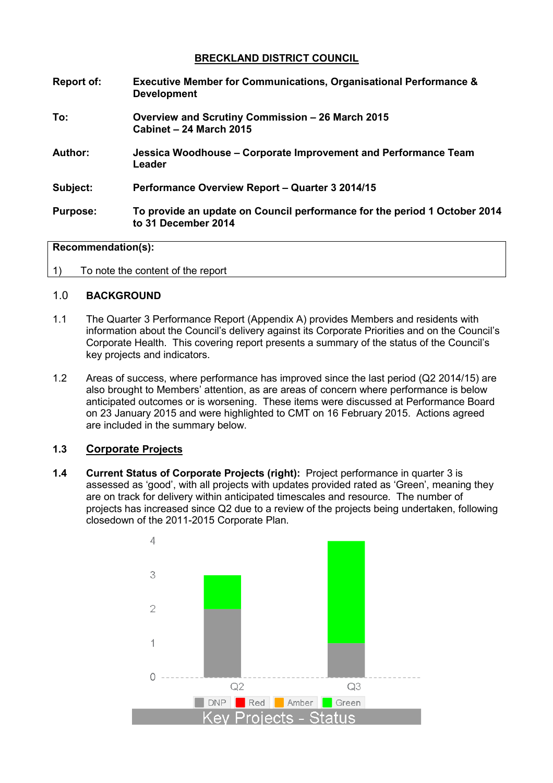## **BRECKLAND DISTRICT COUNCIL**

| Report of:      | <b>Executive Member for Communications, Organisational Performance &amp;</b><br><b>Development</b> |
|-----------------|----------------------------------------------------------------------------------------------------|
| To:             | Overview and Scrutiny Commission – 26 March 2015<br>Cabinet - 24 March 2015                        |
| Author:         | Jessica Woodhouse – Corporate Improvement and Performance Team<br>Leader                           |
| Subject:        | Performance Overview Report - Quarter 3 2014/15                                                    |
| <b>Purpose:</b> | To provide an update on Council performance for the period 1 October 2014<br>to 31 December 2014   |

#### **Recommendation(s):**

1) To note the content of the report

### 1.0 **BACKGROUND**

- 1.1 The Quarter 3 Performance Report (Appendix A) provides Members and residents with information about the Council's delivery against its Corporate Priorities and on the Council's Corporate Health. This covering report presents a summary of the status of the Council's key projects and indicators.
- 1.2 Areas of success, where performance has improved since the last period (Q2 2014/15) are also brought to Members' attention, as are areas of concern where performance is below anticipated outcomes or is worsening. These items were discussed at Performance Board on 23 January 2015 and were highlighted to CMT on 16 February 2015. Actions agreed are included in the summary below.

## **1.3 Corporate Projects**

**1.4 Current Status of Corporate Projects (right):** Project performance in quarter 3 is assessed as 'good', with all projects with updates provided rated as 'Green', meaning they are on track for delivery within anticipated timescales and resource. The number of projects has increased since Q2 due to a review of the projects being undertaken, following closedown of the 2011-2015 Corporate Plan.

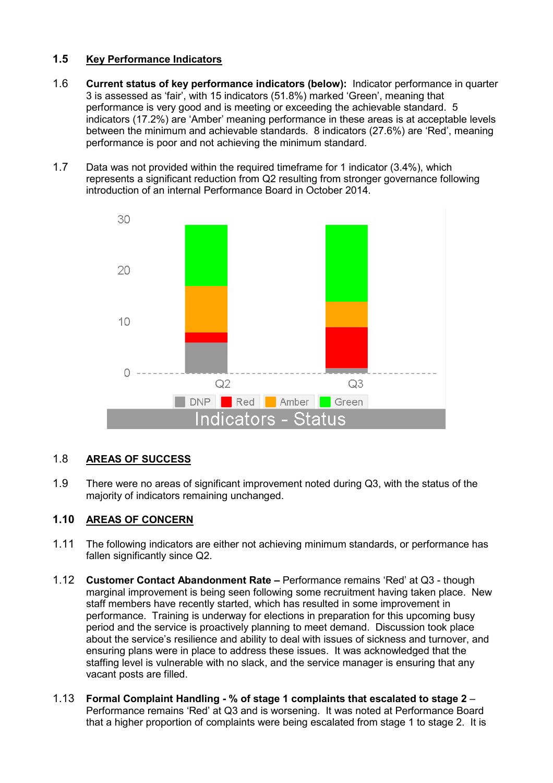# **1.5 Key Performance Indicators**

- 1.6 **Current status of key performance indicators (below):** Indicator performance in quarter 3 is assessed as 'fair', with 15 indicators (51.8%) marked 'Green', meaning that performance is very good and is meeting or exceeding the achievable standard. 5 indicators (17.2%) are 'Amber' meaning performance in these areas is at acceptable levels between the minimum and achievable standards. 8 indicators (27.6%) are 'Red', meaning performance is poor and not achieving the minimum standard.
- 1.7 Data was not provided within the required timeframe for 1 indicator (3.4%), which represents a significant reduction from Q2 resulting from stronger governance following introduction of an internal Performance Board in October 2014.



# 1.8 **AREAS OF SUCCESS**

1.9 There were no areas of significant improvement noted during Q3, with the status of the majority of indicators remaining unchanged.

# **1.10 AREAS OF CONCERN**

- 1.11 The following indicators are either not achieving minimum standards, or performance has fallen significantly since Q2.
- 1.12 **Customer Contact Abandonment Rate** Performance remains 'Red' at Q3 though marginal improvement is being seen following some recruitment having taken place. New staff members have recently started, which has resulted in some improvement in performance. Training is underway for elections in preparation for this upcoming busy period and the service is proactively planning to meet demand. Discussion took place about the service's resilience and ability to deal with issues of sickness and turnover, and ensuring plans were in place to address these issues. It was acknowledged that the staffing level is vulnerable with no slack, and the service manager is ensuring that any vacant posts are filled.
- 1.13 **Formal Complaint Handling % of stage 1 complaints that escalated to stage 2** Performance remains 'Red' at Q3 and is worsening. It was noted at Performance Board that a higher proportion of complaints were being escalated from stage 1 to stage 2. It is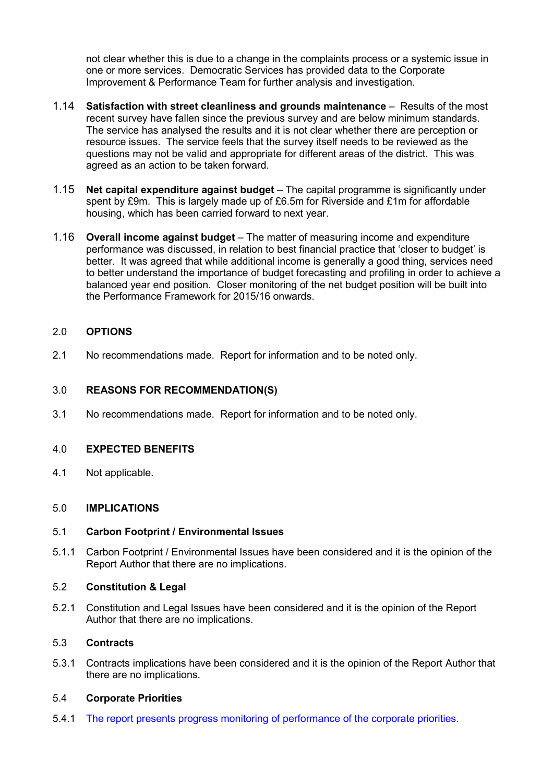not clear whether this is due to a change in the complaints process or a systemic issue in one or more services. Democratic Services has provided data to the Corporate Improvement & Performance Team for further analysis and investigation.

- 1.14 **Satisfaction with street cleanliness and grounds maintenance** Results of the most recent survey have fallen since the previous survey and are below minimum standards. The service has analysed the results and it is not clear whether there are perception or resource issues. The service feels that the survey itself needs to be reviewed as the questions may not be valid and appropriate for different areas of the district. This was agreed as an action to be taken forward.
- 1.15 **Net capital expenditure against budget** The capital programme is significantly under spent by £9m. This is largely made up of £6.5m for Riverside and £1m for affordable housing, which has been carried forward to next year.
- 1.16 **Overall income against budget** The matter of measuring income and expenditure performance was discussed, in relation to best financial practice that 'closer to budget' is better. It was agreed that while additional income is generally a good thing, services need to better understand the importance of budget forecasting and profiling in order to achieve a balanced year end position. Closer monitoring of the net budget position will be built into the Performance Framework for 2015/16 onwards.

## 2.0 **OPTIONS**

2.1 No recommendations made. Report for information and to be noted only.

## 3.0 **REASONS FOR RECOMMENDATION(S)**

3.1 No recommendations made. Report for information and to be noted only.

## 4.0 **EXPECTED BENEFITS**

4.1 Not applicable.

## 5.0 **IMPLICATIONS**

#### 5.1 **Carbon Footprint / Environmental Issues**

5.1.1 Carbon Footprint / Environmental Issues have been considered and it is the opinion of the Report Author that there are no implications.

#### 5.2 **Constitution & Legal**

5.2.1 Constitution and Legal Issues have been considered and it is the opinion of the Report Author that there are no implications.

## 5.3 **Contracts**

5.3.1 Contracts implications have been considered and it is the opinion of the Report Author that there are no implications.

### 5.4 **Corporate Priorities**

5.4.1 The report presents progress monitoring of performance of the corporate priorities.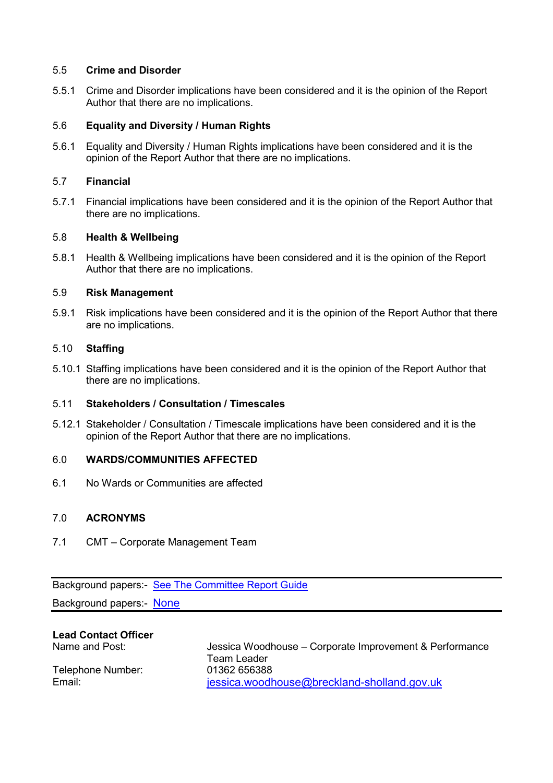## 5.5 **Crime and Disorder**

5.5.1 Crime and Disorder implications have been considered and it is the opinion of the Report Author that there are no implications.

## 5.6 **Equality and Diversity / Human Rights**

5.6.1 Equality and Diversity / Human Rights implications have been considered and it is the opinion of the Report Author that there are no implications.

#### 5.7 **Financial**

5.7.1 Financial implications have been considered and it is the opinion of the Report Author that there are no implications.

### 5.8 **Health & Wellbeing**

5.8.1 Health & Wellbeing implications have been considered and it is the opinion of the Report Author that there are no implications.

### 5.9 **Risk Management**

5.9.1 Risk implications have been considered and it is the opinion of the Report Author that there are no implications.

## 5.10 **Staffing**

5.10.1 Staffing implications have been considered and it is the opinion of the Report Author that there are no implications.

## 5.11 **Stakeholders / Consultation / Timescales**

5.12.1 Stakeholder / Consultation / Timescale implications have been considered and it is the opinion of the Report Author that there are no implications.

#### 6.0 **WARDS/COMMUNITIES AFFECTED**

6.1 No Wards or Communities are affected

## 7.0 **ACRONYMS**

7.1 CMT – Corporate Management Team

Background papers:- See The Committee Report Guide

Background papers:- None

# **Lead Contact Officer**

Telephone Number: 01362 656388

Name and Post: Jessica Woodhouse – Corporate Improvement & Performance Team Leader Email: intervalue contracts are intervals in the sessica.woodhouse@breckland-sholland.gov.uk